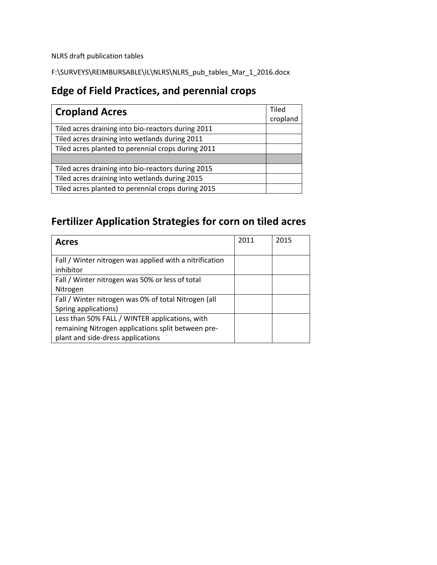NLRS draft publication tables

F:\SURVEYS\REIMBURSABLE\IL\NLRS\NLRS\_pub\_tables\_Mar\_1\_2016.docx

#### **Edge of Field Practices, and perennial crops**

| <b>Cropland Acres</b>                              |  |  |
|----------------------------------------------------|--|--|
| Tiled acres draining into bio-reactors during 2011 |  |  |
| Tiled acres draining into wetlands during 2011     |  |  |
| Tiled acres planted to perennial crops during 2011 |  |  |
|                                                    |  |  |
| Tiled acres draining into bio-reactors during 2015 |  |  |
| Tiled acres draining into wetlands during 2015     |  |  |
| Tiled acres planted to perennial crops during 2015 |  |  |

## **Fertilizer Application Strategies for corn on tiled acres**

| <b>Acres</b>                                                         | 2011 | 2015 |
|----------------------------------------------------------------------|------|------|
| Fall / Winter nitrogen was applied with a nitrification<br>inhibitor |      |      |
| Fall / Winter nitrogen was 50% or less of total                      |      |      |
| Nitrogen                                                             |      |      |
| Fall / Winter nitrogen was 0% of total Nitrogen (all                 |      |      |
| Spring applications)                                                 |      |      |
| Less than 50% FALL / WINTER applications, with                       |      |      |
| remaining Nitrogen applications split between pre-                   |      |      |
| plant and side-dress applications                                    |      |      |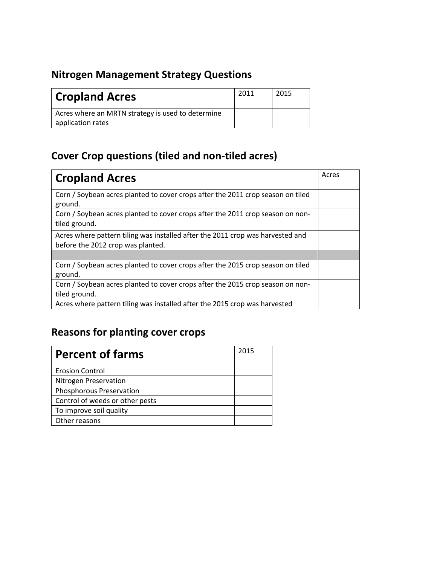#### **Nitrogen Management Strategy Questions**

| <b>Cropland Acres</b>                             | 2011 | 2015 |
|---------------------------------------------------|------|------|
| Acres where an MRTN strategy is used to determine |      |      |
| application rates                                 |      |      |

## **Cover Crop questions (tiled and non-tiled acres)**

| <b>Cropland Acres</b>                                                                                               | Acres |
|---------------------------------------------------------------------------------------------------------------------|-------|
| Corn / Soybean acres planted to cover crops after the 2011 crop season on tiled<br>ground.                          |       |
| Corn / Soybean acres planted to cover crops after the 2011 crop season on non-<br>tiled ground.                     |       |
| Acres where pattern tiling was installed after the 2011 crop was harvested and<br>before the 2012 crop was planted. |       |
|                                                                                                                     |       |
| Corn / Soybean acres planted to cover crops after the 2015 crop season on tiled<br>ground.                          |       |
| Corn / Soybean acres planted to cover crops after the 2015 crop season on non-<br>tiled ground.                     |       |
| Acres where pattern tiling was installed after the 2015 crop was harvested                                          |       |

## **Reasons for planting cover crops**

| <b>Percent of farms</b>         | 2015 |
|---------------------------------|------|
| <b>Erosion Control</b>          |      |
| Nitrogen Preservation           |      |
| Phosphorous Preservation        |      |
| Control of weeds or other pests |      |
| To improve soil quality         |      |
| Other reasons                   |      |